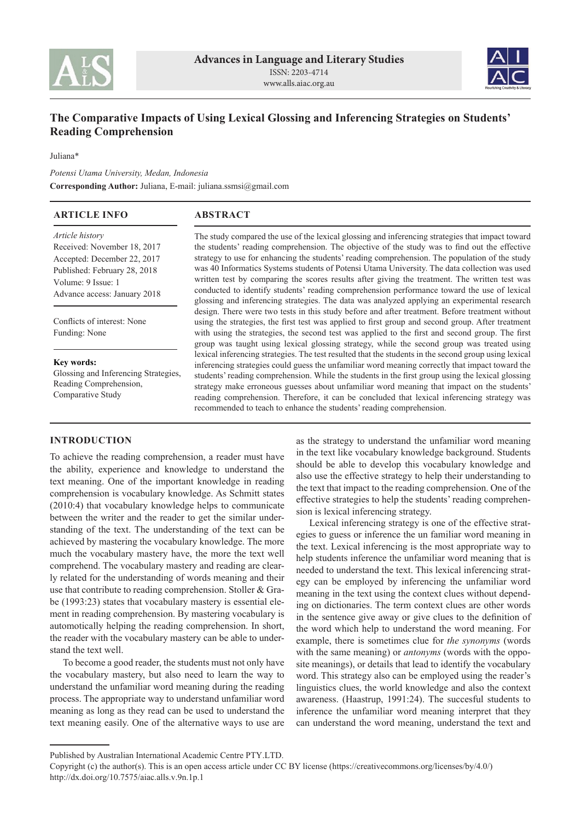



# **The Comparative Impacts of Using Lexical Glossing and Inferencing Strategies on Students' Reading Comprehension**

Juliana\*

*Potensi Utama University, Medan, Indonesia* **Corresponding Author:** Juliana, E-mail: juliana.ssmsi@gmail.com

| <b>ARTICLE INFO</b>                          | <b>ABSTRACT</b>                                                                                       |
|----------------------------------------------|-------------------------------------------------------------------------------------------------------|
| <i>Article history</i>                       | The study compared the use of the lexical glossing and inferencing strategies that impact toward      |
| Received: November 18, 2017                  | the students' reading comprehension. The objective of the study was to find out the effective         |
| Accepted: December 22, 2017                  | strategy to use for enhancing the students' reading comprehension. The population of the study        |
| Published: February 28, 2018                 | was 40 Informatics Systems students of Potensi Utama University. The data collection was used         |
| Volume: 9 Issue: 1                           | written test by comparing the scores results after giving the treatment. The written test was         |
| Advance access: January 2018                 | conducted to identify students' reading comprehension performance toward the use of lexical           |
|                                              | glossing and inferencing strategies. The data was analyzed applying an experimental research          |
| Conflicts of interest: None<br>Funding: None | design. There were two tests in this study before and after treatment. Before treatment without       |
|                                              | using the strategies, the first test was applied to first group and second group. After treatment     |
|                                              | with using the strategies, the second test was applied to the first and second group. The first       |
|                                              | group was taught using lexical glossing strategy, while the second group was treated using            |
| Key words:                                   | lexical inferencing strategies. The test resulted that the students in the second group using lexical |
| Glossing and Inferencing Strategies,         | inferencing strategies could guess the unfamiliar word meaning correctly that impact toward the       |
| Reading Comprehension,                       | students' reading comprehension. While the students in the first group using the lexical glossing     |
| Comparative Study                            | strategy make erroneous guesses about unfamiliar word meaning that impact on the students'            |
|                                              | reading comprehension. Therefore, it can be concluded that lexical inferencing strategy was           |
|                                              | recommended to teach to enhance the students' reading comprehension.                                  |

# **INTRODUCTION**

To achieve the reading comprehension, a reader must have the ability, experience and knowledge to understand the text meaning. One of the important knowledge in reading comprehension is vocabulary knowledge. As Schmitt states (2010:4) that vocabulary knowledge helps to communicate between the writer and the reader to get the similar understanding of the text. The understanding of the text can be achieved by mastering the vocabulary knowledge. The more much the vocabulary mastery have, the more the text well comprehend. The vocabulary mastery and reading are clearly related for the understanding of words meaning and their use that contribute to reading comprehension. Stoller & Grabe (1993:23) states that vocabulary mastery is essential element in reading comprehension. By mastering vocabulary is automotically helping the reading comprehension. In short, the reader with the vocabulary mastery can be able to understand the text well.

To become a good reader, the students must not only have the vocabulary mastery, but also need to learn the way to understand the unfamiliar word meaning during the reading process. The appropriate way to understand unfamiliar word meaning as long as they read can be used to understand the text meaning easily. One of the alternative ways to use are

as the strategy to understand the unfamiliar word meaning in the text like vocabulary knowledge background. Students should be able to develop this vocabulary knowledge and also use the effective strategy to help their understanding to the text that impact to the reading comprehension. One of the effective strategies to help the students' reading comprehension is lexical inferencing strategy.

Lexical inferencing strategy is one of the effective strategies to guess or inference the un familiar word meaning in the text. Lexical inferencing is the most appropriate way to help students inference the unfamiliar word meaning that is needed to understand the text. This lexical inferencing strategy can be employed by inferencing the unfamiliar word meaning in the text using the context clues without depending on dictionaries. The term context clues are other words in the sentence give away or give clues to the definition of the word which help to understand the word meaning. For example, there is sometimes clue for *the synonyms* (words with the same meaning) or *antonyms* (words with the opposite meanings), or details that lead to identify the vocabulary word. This strategy also can be employed using the reader's linguistics clues, the world knowledge and also the context awareness. (Haastrup, 1991:24). The succesful students to inference the unfamiliar word meaning interpret that they can understand the word meaning, understand the text and

Published by Australian International Academic Centre PTY.LTD.

Copyright (c) the author(s). This is an open access article under CC BY license (https://creativecommons.org/licenses/by/4.0/) http://dx.doi.org/10.7575/aiac.alls.v.9n.1p.1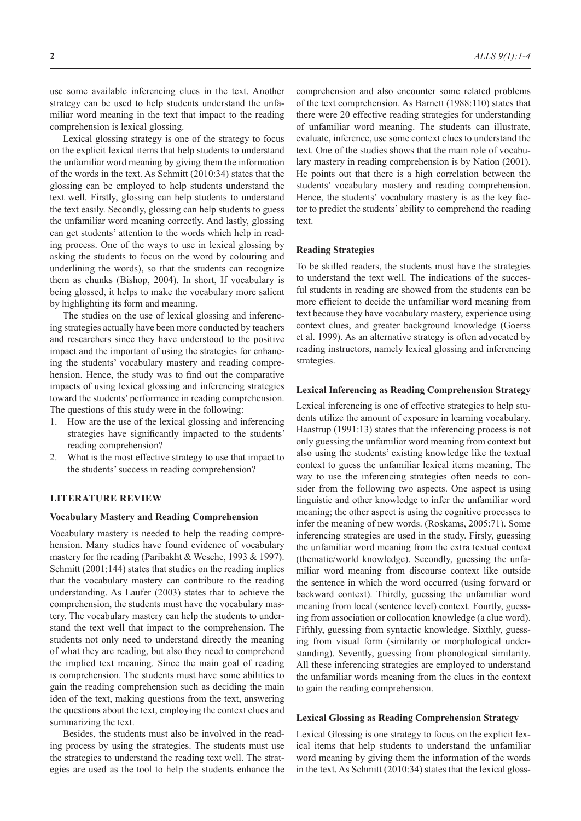use some available inferencing clues in the text. Another strategy can be used to help students understand the unfamiliar word meaning in the text that impact to the reading comprehension is lexical glossing.

Lexical glossing strategy is one of the strategy to focus on the explicit lexical items that help students to understand the unfamiliar word meaning by giving them the information of the words in the text. As Schmitt (2010:34) states that the glossing can be employed to help students understand the text well. Firstly, glossing can help students to understand the text easily. Secondly, glossing can help students to guess the unfamiliar word meaning correctly. And lastly, glossing can get students' attention to the words which help in reading process. One of the ways to use in lexical glossing by asking the students to focus on the word by colouring and underlining the words), so that the students can recognize them as chunks (Bishop, 2004). In short, If vocabulary is being glossed, it helps to make the vocabulary more salient by highlighting its form and meaning.

The studies on the use of lexical glossing and inferencing strategies actually have been more conducted by teachers and researchers since they have understood to the positive impact and the important of using the strategies for enhancing the students' vocabulary mastery and reading comprehension. Hence, the study was to find out the comparative impacts of using lexical glossing and inferencing strategies toward the students' performance in reading comprehension. The questions of this study were in the following:

- 1. How are the use of the lexical glossing and inferencing strategies have significantly impacted to the students' reading comprehension?
- 2. What is the most effective strategy to use that impact to the students' success in reading comprehension?

## **LITERATURE REVIEW**

### **Vocabulary Mastery and Reading Comprehension**

Vocabulary mastery is needed to help the reading comprehension. Many studies have found evidence of vocabulary mastery for the reading (Paribakht & Wesche, 1993 & 1997). Schmitt (2001:144) states that studies on the reading implies that the vocabulary mastery can contribute to the reading understanding. As Laufer (2003) states that to achieve the comprehension, the students must have the vocabulary mastery. The vocabulary mastery can help the students to understand the text well that impact to the comprehension. The students not only need to understand directly the meaning of what they are reading, but also they need to comprehend the implied text meaning. Since the main goal of reading is comprehension. The students must have some abilities to gain the reading comprehension such as deciding the main idea of the text, making questions from the text, answering the questions about the text, employing the context clues and summarizing the text.

Besides, the students must also be involved in the reading process by using the strategies. The students must use the strategies to understand the reading text well. The strategies are used as the tool to help the students enhance the comprehension and also encounter some related problems of the text comprehension. As Barnett (1988:110) states that there were 20 effective reading strategies for understanding of unfamiliar word meaning. The students can illustrate, evaluate, inference, use some context clues to understand the text. One of the studies shows that the main role of vocabulary mastery in reading comprehension is by Nation (2001). He points out that there is a high correlation between the students' vocabulary mastery and reading comprehension. Hence, the students' vocabulary mastery is as the key factor to predict the students' ability to comprehend the reading text.

#### **Reading Strategies**

To be skilled readers, the students must have the strategies to understand the text well. The indications of the succesful students in reading are showed from the students can be more efficient to decide the unfamiliar word meaning from text because they have vocabulary mastery, experience using context clues, and greater background knowledge (Goerss et al. 1999). As an alternative strategy is often advocated by reading instructors, namely lexical glossing and inferencing strategies.

#### **Lexical Inferencing as Reading Comprehension Strategy**

Lexical inferencing is one of effective strategies to help students utilize the amount of exposure in learning vocabulary. Haastrup (1991:13) states that the inferencing process is not only guessing the unfamiliar word meaning from context but also using the students' existing knowledge like the textual context to guess the unfamiliar lexical items meaning. The way to use the inferencing strategies often needs to consider from the following two aspects. One aspect is using linguistic and other knowledge to infer the unfamiliar word meaning; the other aspect is using the cognitive processes to infer the meaning of new words. (Roskams, 2005:71). Some inferencing strategies are used in the study. Firsly, guessing the unfamiliar word meaning from the extra textual context (thematic/world knowledge). Secondly, guessing the unfamiliar word meaning from discourse context like outside the sentence in which the word occurred (using forward or backward context). Thirdly, guessing the unfamiliar word meaning from local (sentence level) context. Fourtly, guessing from association or collocation knowledge (a clue word). Fifthly, guessing from syntactic knowledge. Sixthly, guessing from visual form (similarity or morphological understanding). Sevently, guessing from phonological similarity. All these inferencing strategies are employed to understand the unfamiliar words meaning from the clues in the context to gain the reading comprehension.

#### **Lexical Glossing as Reading Comprehension Strategy**

Lexical Glossing is one strategy to focus on the explicit lexical items that help students to understand the unfamiliar word meaning by giving them the information of the words in the text. As Schmitt (2010:34) states that the lexical gloss-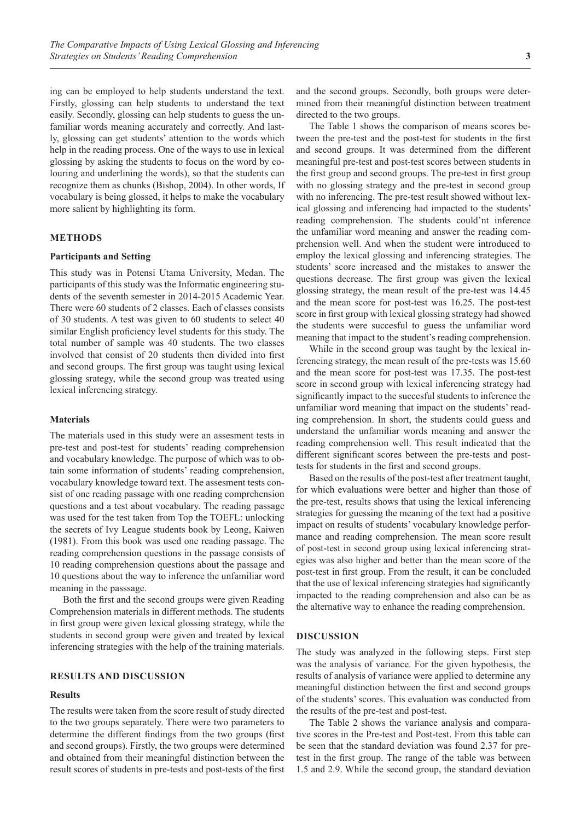ing can be employed to help students understand the text. Firstly, glossing can help students to understand the text easily. Secondly, glossing can help students to guess the unfamiliar words meaning accurately and correctly. And lastly, glossing can get students' attention to the words which help in the reading process. One of the ways to use in lexical glossing by asking the students to focus on the word by colouring and underlining the words), so that the students can recognize them as chunks (Bishop, 2004). In other words, If vocabulary is being glossed, it helps to make the vocabulary more salient by highlighting its form.

## **METHODS**

#### **Participants and Setting**

This study was in Potensi Utama University, Medan. The participants of this study was the Informatic engineering students of the seventh semester in 2014-2015 Academic Year. There were 60 students of 2 classes. Each of classes consists of 30 students. A test was given to 60 students to select 40 similar English proficiency level students for this study. The total number of sample was 40 students. The two classes involved that consist of 20 students then divided into first and second groups. The first group was taught using lexical glossing srategy, while the second group was treated using lexical inferencing strategy.

#### **Materials**

The materials used in this study were an assesment tests in pre-test and post-test for students' reading comprehension and vocabulary knowledge. The purpose of which was to obtain some information of students' reading comprehension, vocabulary knowledge toward text. The assesment tests consist of one reading passage with one reading comprehension questions and a test about vocabulary. The reading passage was used for the test taken from Top the TOEFL: unlocking the secrets of Ivy League students book by Leong, Kaiwen (1981). From this book was used one reading passage. The reading comprehension questions in the passage consists of 10 reading comprehension questions about the passage and 10 questions about the way to inference the unfamiliar word meaning in the passsage.

Both the first and the second groups were given Reading Comprehension materials in different methods. The students in first group were given lexical glossing strategy, while the students in second group were given and treated by lexical inferencing strategies with the help of the training materials.

## **RESULTS AND DISCUSSION**

#### **Results**

The results were taken from the score result of study directed to the two groups separately. There were two parameters to determine the different findings from the two groups (first and second groups). Firstly, the two groups were determined and obtained from their meaningful distinction between the result scores of students in pre-tests and post-tests of the first

and the second groups. Secondly, both groups were determined from their meaningful distinction between treatment directed to the two groups.

The Table 1 shows the comparison of means scores between the pre-test and the post-test for students in the first and second groups. It was determined from the different meaningful pre-test and post-test scores between students in the first group and second groups. The pre-test in first group with no glossing strategy and the pre-test in second group with no inferencing. The pre-test result showed without lexical glossing and inferencing had impacted to the students' reading comprehension. The students could'nt inference the unfamiliar word meaning and answer the reading comprehension well. And when the student were introduced to employ the lexical glossing and inferencing strategies. The students' score increased and the mistakes to answer the questions decrease. The first group was given the lexical glossing strategy, the mean result of the pre-test was 14.45 and the mean score for post-test was 16.25. The post-test score in first group with lexical glossing strategy had showed the students were succesful to guess the unfamiliar word meaning that impact to the student's reading comprehension.

While in the second group was taught by the lexical inferencing strategy, the mean result of the pre-tests was 15.60 and the mean score for post-test was 17.35. The post-test score in second group with lexical inferencing strategy had significantly impact to the succesful students to inference the unfamiliar word meaning that impact on the students' reading comprehension. In short, the students could guess and understand the unfamiliar words meaning and answer the reading comprehension well. This result indicated that the different significant scores between the pre-tests and posttests for students in the first and second groups.

Based on the results of the post-test after treatment taught, for which evaluations were better and higher than those of the pre-test, results shows that using the lexical inferencing strategies for guessing the meaning of the text had a positive impact on results of students' vocabulary knowledge performance and reading comprehension. The mean score result of post-test in second group using lexical inferencing strategies was also higher and better than the mean score of the post-test in first group. From the result, it can be concluded that the use of lexical inferencing strategies had significantly impacted to the reading comprehension and also can be as the alternative way to enhance the reading comprehension.

#### **DISCUSSION**

The study was analyzed in the following steps. First step was the analysis of variance. For the given hypothesis, the results of analysis of variance were applied to determine any meaningful distinction between the first and second groups of the students' scores. This evaluation was conducted from the results of the pre-test and post-test.

The Table 2 shows the variance analysis and comparative scores in the Pre-test and Post-test. From this table can be seen that the standard deviation was found 2.37 for pretest in the first group. The range of the table was between 1.5 and 2.9. While the second group, the standard deviation